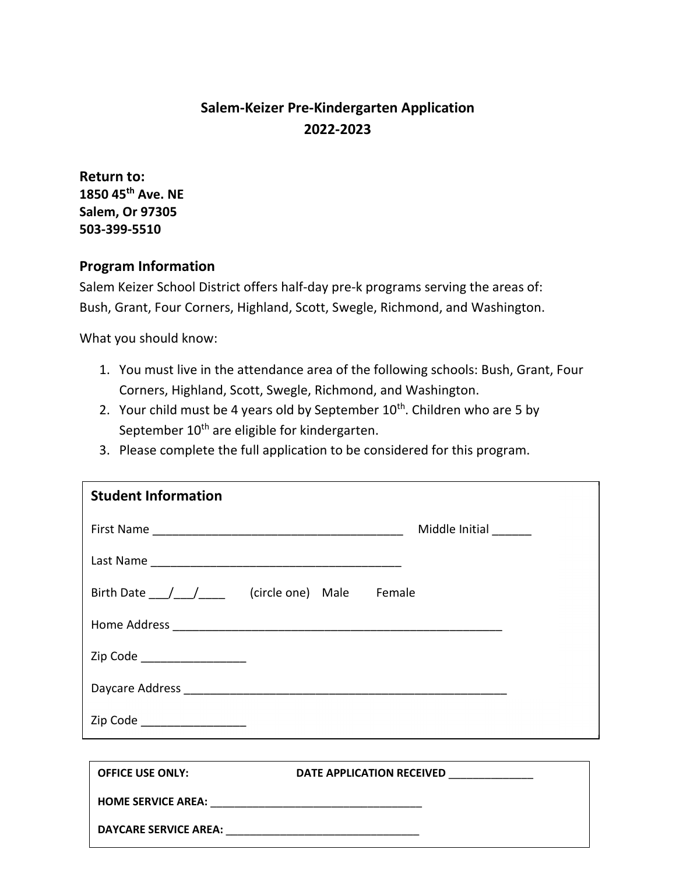## **Salem-Keizer Pre-Kindergarten Application 2022-2023**

**Return to: 1850 45th Ave. NE Salem, Or 97305 503-399-5510**

## **Program Information**

Salem Keizer School District offers half-day pre-k programs serving the areas of: Bush, Grant, Four Corners, Highland, Scott, Swegle, Richmond, and Washington.

What you should know:

- 1. You must live in the attendance area of the following schools: Bush, Grant, Four Corners, Highland, Scott, Swegle, Richmond, and Washington.
- 2. Your child must be 4 years old by September  $10^{th}$ . Children who are 5 by September 10<sup>th</sup> are eligible for kindergarten.
- 3. Please complete the full application to be considered for this program.

| <b>Student Information</b>    |                                                 |
|-------------------------------|-------------------------------------------------|
|                               | Middle Initial ______                           |
|                               |                                                 |
|                               | Birth Date ____/_____/ (circle one) Male Female |
|                               |                                                 |
| Zip Code ____________________ |                                                 |
|                               |                                                 |
| Zip Code ____________________ |                                                 |
|                               |                                                 |
| <b>OFFICE USE ONLY:</b>       | DATE APPLICATION RECEIVED ______________        |
|                               |                                                 |
|                               |                                                 |